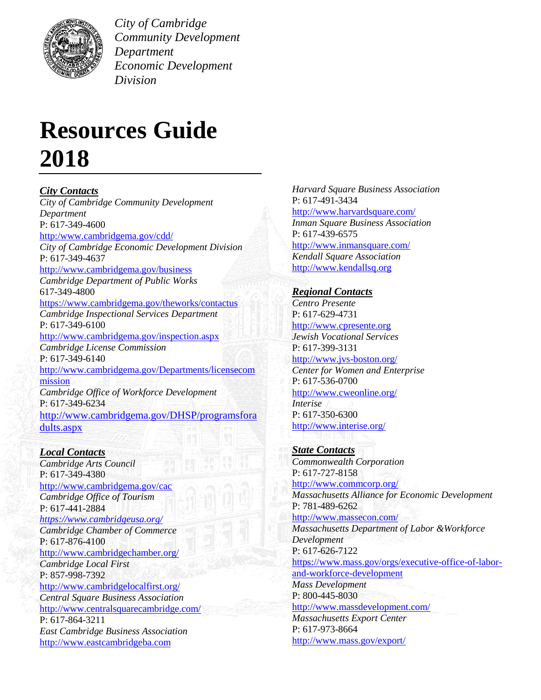

*City of Cambridge Community Development Department Economic Development Division*

# **Resources Guide 2018**

*City Contacts City of Cambridge Community Development Department* P: 617-349-4600 [http:/www.cambridgema.gov/cdd/](http://www.cambridgema.gov/cdd/) *City of Cambridge Economic Development Division* P: 617-349-4637 <http://www.cambridgema.gov/business> *Cambridge Department of Public Works* 617-349-4800 <https://www.cambridgema.gov/theworks/contactus> *Cambridge Inspectional Services Department* P: 617-349-6100 <http://www.cambridgema.gov/inspection.aspx> *Cambridge License Commission* P: 617-349-6140 [http://www.cambridgema.gov/Departments/licensecom](http://www.cambridgema.gov/Departments/licensecommission) [mission](http://www.cambridgema.gov/Departments/licensecommission) *Cambridge Office of Workforce Development* P: 617-349-6234 [http://www.cambridgema.gov/DHSP/programsfora](http://www.cambridgema.gov/DHSP/programsforadults.aspx) [dults.aspx](http://www.cambridgema.gov/DHSP/programsforadults.aspx)

*Local Contacts Cambridge Arts Council* P: 617-349-4380 <http://www.cambridgema.gov/cac> *Cambridge Office of Tourism* P: 617-441-2884 *<https://www.cambridgeusa.org/> Cambridge Chamber of Commerce* P: 617-876-4100 <http://www.cambridgechamber.org/> *Cambridge Local First* P: 857-998-7392 <http://www.cambridgelocalfirst.org/> *Central Square Business Association* <http://www.centralsquarecambridge.com/> P: 617-864-3211 *East Cambridge Business Association* [http://www.eastcambridgeba.com](http://www.eastcambridgeba.com/)

*Harvard Square Business Association* P: 617-491-3434 <http://www.harvardsquare.com/> *Inman Square Business Association* P: 617-439-6575 <http://www.inmansquare.com/> *Kendall Square Association* [http://www.kendallsq.org](http://www.kendallsq.org/)

## *Regional Contacts*

*Centro Presente* P: 617-629-4731 [http://www.cpresente.org](http://www.cpresente.org/) *Jewish Vocational Services* P: 617-399-3131 <http://www.jvs-boston.org/> *Center for Women and Enterprise* P: 617-536-0700 <http://www.cweonline.org/> *Interise* P: 617-350-6300 <http://www.interise.org/>

*State Contacts Commonwealth Corporation* P: 617-727-8158 <http://www.commcorp.org/> *Massachusetts Alliance for Economic Development* P: 781-489-6262 <http://www.massecon.com/> *Massachusetts Department of Labor &Workforce Development* P: 617-626-7122 [https://www.mass.gov/orgs/executive-office-of-labor](https://www.mass.gov/orgs/executive-office-of-labor-and-workforce-development)[and-workforce-development](https://www.mass.gov/orgs/executive-office-of-labor-and-workforce-development) *Mass Development*  P: 800-445-8030 <http://www.massdevelopment.com/> *Massachusetts Export Center* P: 617-973-8664 <http://www.mass.gov/export/>